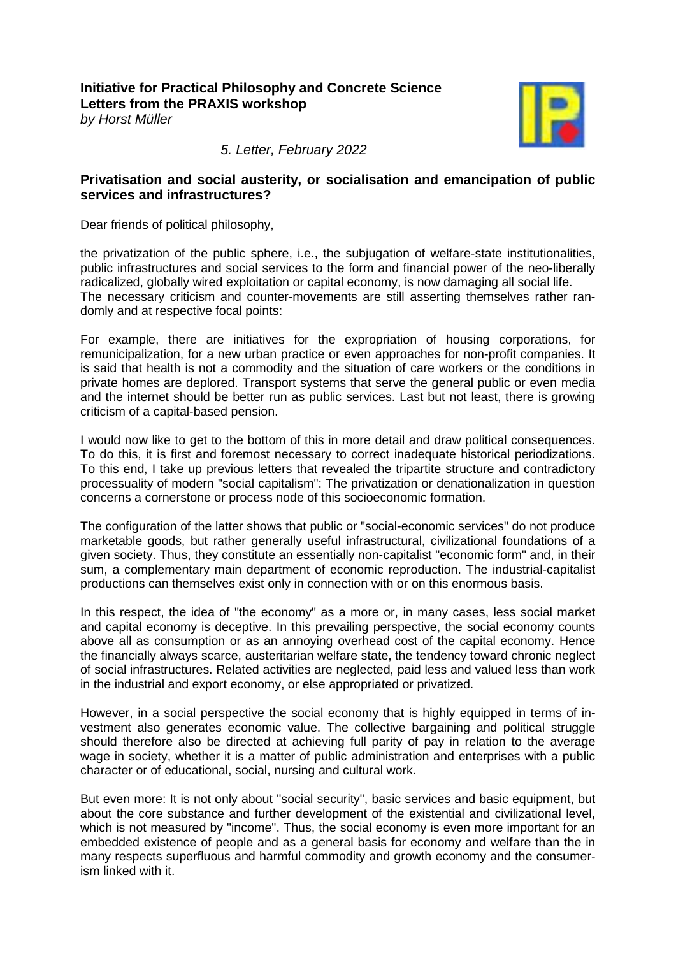**Initiative for Practical Philosophy and Concrete Science [Letters from the PRAXIS workshop](https://www.praxisphilosophie.de/themen_und_kommentare_121.htm)**  *by Horst Müller*



*5. Letter, February 2022*

## **Privatisation and social austerity, or socialisation and emancipation of public services and infrastructures?**

Dear friends of political philosophy,

the privatization of the public sphere, i.e., the subjugation of welfare-state institutionalities, public infrastructures and social services to the form and financial power of the neo-liberally radicalized, globally wired exploitation or capital economy, is now damaging all social life. The necessary criticism and counter-movements are still asserting themselves rather randomly and at respective focal points:

For example, there are initiatives for the expropriation of housing corporations, for remunicipalization, for a new urban practice or even approaches for non-profit companies. It is said that health is not a commodity and the situation of care workers or the conditions in private homes are deplored. Transport systems that serve the general public or even media and the internet should be better run as public services. Last but not least, there is growing criticism of a capital-based pension.

I would now like to get to the bottom of this in more detail and draw political consequences. To do this, it is first and foremost necessary to correct inadequate historical periodizations. To this end, I take up previous letters that revealed the tripartite structure and contradictory processuality of modern "social capitalism": The privatization or denationalization in question concerns a cornerstone or process node of this socioeconomic formation.

The configuration of the latter shows that public or "social-economic services" do not produce marketable goods, but rather generally useful infrastructural, civilizational foundations of a given society. Thus, they constitute an essentially non-capitalist "economic form" and, in their sum, a complementary main department of economic reproduction. The industrial-capitalist productions can themselves exist only in connection with or on this enormous basis.

In this respect, the idea of "the economy" as a more or, in many cases, less social market and capital economy is deceptive. In this prevailing perspective, the social economy counts above all as consumption or as an annoying overhead cost of the capital economy. Hence the financially always scarce, austeritarian welfare state, the tendency toward chronic neglect of social infrastructures. Related activities are neglected, paid less and valued less than work in the industrial and export economy, or else appropriated or privatized.

However, in a social perspective the social economy that is highly equipped in terms of investment also generates economic value. The collective bargaining and political struggle should therefore also be directed at achieving full parity of pay in relation to the average wage in society, whether it is a matter of public administration and enterprises with a public character or of educational, social, nursing and cultural work.

But even more: It is not only about "social security", basic services and basic equipment, but about the core substance and further development of the existential and civilizational level, which is not measured by "income". Thus, the social economy is even more important for an embedded existence of people and as a general basis for economy and welfare than the in many respects superfluous and harmful commodity and growth economy and the consumerism linked with it.